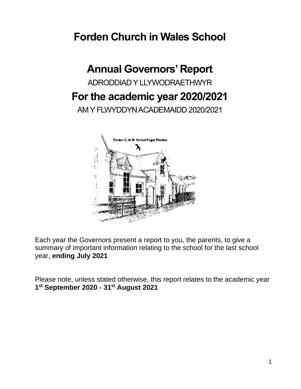## **Forden Church in Wales School**

# **Annual Governors' Report** ADRODDIAD Y LLYWODRAETHWYR **For the academic year 2020/2021** AM Y FLWYDDYN ACADEMAIDD 2020/2021



Each year the Governors present a report to you, the parents, to give a summary of important information relating to the school for the last school year, **ending July 2021**

Please note, unless stated otherwise, this report relates to the academic year **1 st September 2020 - 31st August 2021**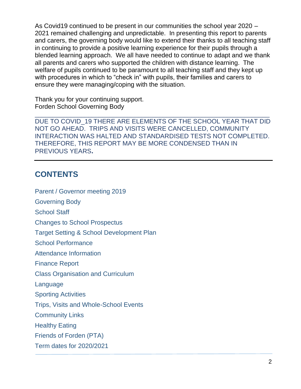As Covid19 continued to be present in our communities the school year 2020 – 2021 remained challenging and unpredictable. In presenting this report to parents and carers, the governing body would like to extend their thanks to all teaching staff in continuing to provide a positive learning experience for their pupils through a blended learning approach. We all have needed to continue to adapt and we thank all parents and carers who supported the children with distance learning. The welfare of pupils continued to be paramount to all teaching staff and they kept up with procedures in which to "check in" with pupils, their families and carers to ensure they were managing/coping with the situation.

Thank you for your continuing support. Forden School Governing Body

DUE TO COVID\_19 THERE ARE ELEMENTS OF THE SCHOOL YEAR THAT DID NOT GO AHEAD. TRIPS AND VISITS WERE CANCELLED, COMMUNITY INTERACTION WAS HALTED AND STANDARDISED TESTS NOT COMPLETED. THEREFORE, THIS REPORT MAY BE MORE CONDENSED THAN IN PREVIOUS YEARS**.** 

\_\_\_\_\_\_\_\_\_\_\_\_\_\_\_\_\_\_\_\_\_\_\_\_\_\_\_\_\_\_\_\_\_\_\_\_\_\_\_\_\_\_\_\_\_\_\_\_\_\_\_\_\_\_\_\_\_\_\_\_\_\_\_\_\_\_

## **CONTENTS**

Parent / Governor meeting 2019

Governing Body

School Staff

Changes to School Prospectus

Target Setting & School Development Plan

School Performance

Attendance Information

Finance Report

Class Organisation and Curriculum

Language

Sporting Activities

Trips, Visits and Whole-School Events

Community Links

Healthy Eating

Friends of Forden (PTA)

Term dates for 2020/2021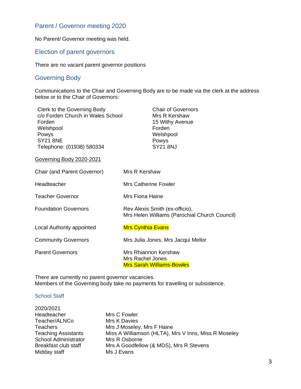### Parent / Governor meeting 2020

No Parent/ Governor meeting was held.

#### Election of parent governors

There are no vacant parent governor positions

#### Governing Body

Communications to the Chair and Governing Body are to be made via the clerk at the address below or to the Chair of Governors:

| Clerk to the Governing Body<br>c/o Forden Church in Wales School<br>Forden<br>Welshpool<br>Powys<br><b>SY21 8NE</b><br>Telephone: (01938) 580334 | <b>Chair of Governors</b><br>Mrs R Kershaw<br>15 Withy Avenue<br>Forden<br>Welshpool<br>Powys<br><b>SY21 8NJ</b> |
|--------------------------------------------------------------------------------------------------------------------------------------------------|------------------------------------------------------------------------------------------------------------------|
| Governing Body 2020-2021                                                                                                                         |                                                                                                                  |
| Chair (and Parent Governor)                                                                                                                      | Mrs R Kershaw                                                                                                    |
| Headteacher                                                                                                                                      | <b>Mrs Catherine Fowler</b>                                                                                      |
| <b>Teacher Governor</b>                                                                                                                          | Mrs Fiona Haine                                                                                                  |
| <b>Foundation Governors</b>                                                                                                                      | Rev Alexis Smith (ex-officio),<br>Mrs Helen Williams (Parochial Church Council)                                  |
| Local Authority appointed                                                                                                                        | <b>Mrs Cynthia Evans</b>                                                                                         |
| <b>Community Governors</b>                                                                                                                       | Mrs Julia Jones, Mrs Jacqui Mellor                                                                               |
| <b>Parent Governors</b>                                                                                                                          | Mrs Rhiannon Kershaw<br>Mrs Rachel Jones<br><b>Mrs Sarah Williams-Bowles</b>                                     |

There are currently no parent governor vacancies. Members of the Governing body take no payments for travelling or subsistence.

#### School Staff

| 2020/2021                   |                                                      |
|-----------------------------|------------------------------------------------------|
| Headteacher                 | Mrs C Fowler                                         |
| Teacher/ALNCo               | Mrs K Davies                                         |
| <b>Teachers</b>             | Mrs J Moseley, Mrs F Haine                           |
| <b>Teaching Assistants</b>  | Miss A Williamson (HLTA), Mrs V Inns, Miss R Moseley |
| <b>School Administrator</b> | Mrs R Osborne                                        |
| Breakfast club staff        | Mrs A Goodfellow (& MDS), Mrs R Stevens              |
| Midday staff                | Ms J Evans                                           |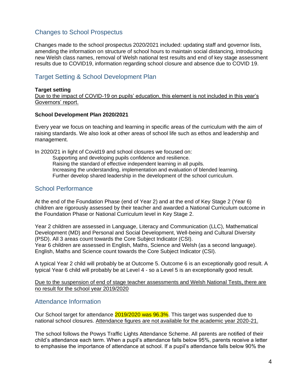## Changes to School Prospectus

Changes made to the school prospectus 2020/2021 included: updating staff and governor lists, amending the information on structure of school hours to maintain social distancing, introducing new Welsh class names, removal of Welsh national test results and end of key stage assessment results due to COVID19, information regarding school closure and absence due to COVID 19.

## Target Setting & School Development Plan

#### **Target setting**

Due to the impact of COVID-19 on pupils' education, this element is not included in this year's Governors' report.

#### **School Development Plan 2020/2021**

Every year we focus on teaching and learning in specific areas of the curriculum with the aim of raising standards. We also look at other areas of school life such as ethos and leadership and management.

In 2020/21 in light of Covid19 and school closures we focused on: Supporting and developing pupils confidence and resilience. Raising the standard of effective independent learning in all pupils. Increasing the understanding, implementation and evaluation of blended learning. Further develop shared leadership in the development of the school curriculum.

### School Performance

At the end of the Foundation Phase (end of Year 2) and at the end of Key Stage 2 (Year 6) children are rigorously assessed by their teacher and awarded a National Curriculum outcome in the Foundation Phase or National Curriculum level in Key Stage 2.

Year 2 children are assessed in Language, Literacy and Communication (LLC), Mathematical Development (MD) and Personal and Social Development, Well-being and Cultural Diversity (PSD). All 3 areas count towards the Core Subject Indicator (CSI). Year 6 children are assessed in English, Maths, Science and Welsh (as a second language). English, Maths and Science count towards the Core Subject Indicator (CSI).

A typical Year 2 child will probably be at Outcome 5. Outcome 6 is an exceptionally good result. A typical Year 6 child will probably be at Level 4 - so a Level 5 is an exceptionally good result.

Due to the suspension of end of stage teacher assessments and Welsh National Tests, there are no result for the school year 2019/2020

#### Attendance Information

Our School target for attendance 2019/2020 was 96.3%. This target was suspended due to national school closures. Attendance figures are not available for the academic year 2020-21.

The school follows the Powys Traffic Lights Attendance Scheme. All parents are notified of their child's attendance each term. When a pupil's attendance falls below 95%, parents receive a letter to emphasise the importance of attendance at school. If a pupil's attendance falls below 90% the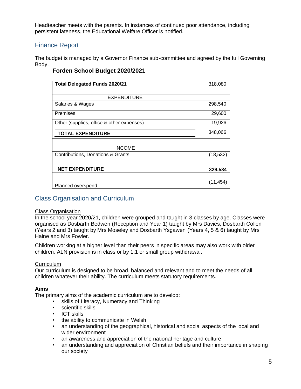Headteacher meets with the parents. In instances of continued poor attendance, including persistent lateness, the Educational Welfare Officer is notified.

## Finance Report

The budget is managed by a Governor Finance sub-committee and agreed by the full Governing Body.

| <b>Total Delegated Funds 2020/21</b>      | 318,080   |
|-------------------------------------------|-----------|
|                                           |           |
| <b>EXPENDITURE</b>                        |           |
| Salaries & Wages                          | 298,540   |
| Premises                                  | 29,600    |
| Other (supplies, office & other expenses) | 19,926    |
| <b>TOTAL EXPENDITURE</b>                  | 348,066   |
|                                           |           |
| <b>INCOME</b>                             |           |
| Contributions, Donations & Grants         | (18, 532) |
|                                           |           |
| <b>NET EXPENDITURE</b>                    | 329,534   |
|                                           |           |
| Planned overspend                         | (11,454)  |

#### **Forden School Budget 2020/2021**

#### Class Organisation and Curriculum

#### Class Organisation

In the school year 2020/21, children were grouped and taught in 3 classes by age. Classes were organised as Dosbarth Bedwen (Reception and Year 1) taught by Mrs Davies, Dosbarth Collen (Years 2 and 3) taught by Mrs Moseley and Dosbarth Ysgawen (Years 4, 5 & 6) taught by Mrs Haine and Mrs Fowler.

Children working at a higher level than their peers in specific areas may also work with older children. ALN provision is in class or by 1:1 or small group withdrawal.

#### **Curriculum**

Our curriculum is designed to be broad, balanced and relevant and to meet the needs of all children whatever their ability. The curriculum meets statutory requirements.

#### **Aims**

The primary aims of the academic curriculum are to develop:

- skills of Literacy, Numeracy and Thinking
- scientific skills
- ICT skills
- the ability to communicate in Welsh
- an understanding of the geographical, historical and social aspects of the local and wider environment
- an awareness and appreciation of the national heritage and culture
- an understanding and appreciation of Christian beliefs and their importance in shaping our society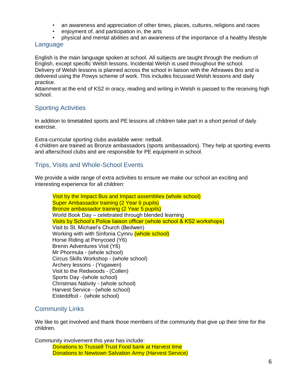- an awareness and appreciation of other times, places, cultures, religions and races
- enjoyment of, and participation in, the arts
- physical and mental abilities and an awareness of the importance of a healthy lifestyle

#### Language

English is the main language spoken at school. All subjects are taught through the medium of English, except specific Welsh lessons. Incidental Welsh is used throughout the school. Delivery of Welsh lessons is planned across the school in liaison with the Athrawes Bro and is delivered using the Powys scheme of work. This includes focussed Welsh lessons and daily practice.

Attainment at the end of KS2 in oracy, reading and writing in Welsh is passed to the receiving high school.

## Sporting Activities

In addition to timetabled sports and PE lessons all children take part in a short period of daily exercise.

Extra-curricular sporting clubs available were: netball.

4 children are trained as Bronze ambassadors (sports ambassadors). They help at sporting events and afterschool clubs and are responsible for PE equipment in school.

### Trips, Visits and Whole-School Events

We provide a wide range of extra activities to ensure we make our school an exciting and interesting experience for all children:

Visit by the Impact Bus and Impact assemblies (whole school) Super Ambassador training (2 Year 6 pupils) Bronze ambassador training (2 Year 5 pupils) World Book Day – celebrated through blended learning Visits by School's Police liaison officer (whole school & KS2 workshops) Visit to St. Michael's Church (Bedwen) Working with with Sinfonia Cymru (whole school) Horse Riding at Penycoed (Y6) Brenin Adventures Visit (Y6) Mr Phormula - (whole school) Circus Skills Workshop - (whole school) Archery lessons - (Ysgawen) Visit to the Redwoods - (Collen) Sports Day -(whole school) Christmas Nativity - (whole school) Harvest Service - (whole school) Eisteddfod - (whole school)

## Community Links

We like to get involved and thank those members of the community that give up their time for the children.

Community involvement this year has include: Donations to Trussell Trust Food bank at Harvest time Donations to Newtown Salvation Army (Harvest Service)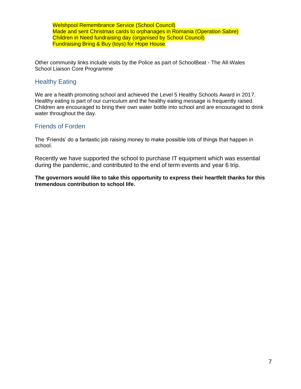Welshpool Remembrance Service (School Council) Made and sent Christmas cards to orphanages in Romania (Operation Sabre) Children in Need fundraising day (organised by School Council) Fundraising Bring & Buy (toys) for Hope House

Other community links include visits by the Police as part of SchoolBeat - The All-Wales School Liaison Core Programme

#### Healthy Eating

We are a health promoting school and achieved the Level 5 Healthy Schools Award in 2017. Healthy eating is part of our curriculum and the healthy eating message is frequently raised. Children are encouraged to bring their own water bottle into school and are encouraged to drink water throughout the day.

#### Friends of Forden

The 'Friends' do a fantastic job raising money to make possible lots of things that happen in school.

Recently we have supported the school to purchase IT equipment which was essential during the pandemic, and contributed to the end of term events and year 6 trip.

**The governors would like to take this opportunity to express their heartfelt thanks for this tremendous contribution to school life.**